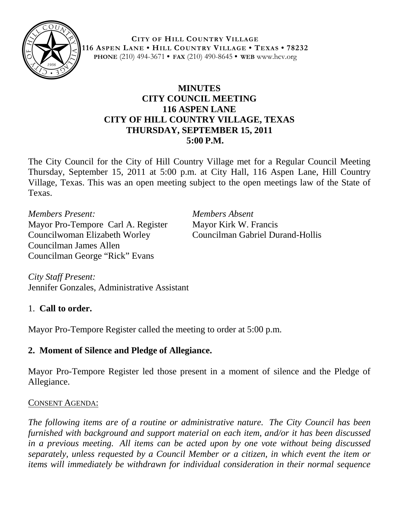

**CITY OF HILL COUNTRY VILLAGE 116 ASPEN LANE • HILL COUNTRY VILLAGE • TEXAS • 78232 PHONE** (210) 494-3671 **• FAX** (210) 490-8645 **• WEB** www.hcv.org

## **MINUTES CITY COUNCIL MEETING 116 ASPEN LANE CITY OF HILL COUNTRY VILLAGE, TEXAS THURSDAY, SEPTEMBER 15, 2011 5:00 P.M.**

The City Council for the City of Hill Country Village met for a Regular Council Meeting Thursday, September 15, 2011 at 5:00 p.m. at City Hall, 116 Aspen Lane, Hill Country Village, Texas. This was an open meeting subject to the open meetings law of the State of Texas.

*Members Present: Members Absent* Mayor Pro-Tempore Carl A. Register Mayor Kirk W. Francis Councilwoman Elizabeth Worley Councilman Gabriel Durand-Hollis Councilman James Allen Councilman George "Rick" Evans

*City Staff Present:* Jennifer Gonzales, Administrative Assistant

## 1. **Call to order.**

Mayor Pro-Tempore Register called the meeting to order at 5:00 p.m.

## **2. Moment of Silence and Pledge of Allegiance.**

Mayor Pro-Tempore Register led those present in a moment of silence and the Pledge of Allegiance.

## CONSENT AGENDA:

*The following items are of a routine or administrative nature. The City Council has been furnished with background and support material on each item, and/or it has been discussed in a previous meeting. All items can be acted upon by one vote without being discussed separately, unless requested by a Council Member or a citizen, in which event the item or items will immediately be withdrawn for individual consideration in their normal sequence*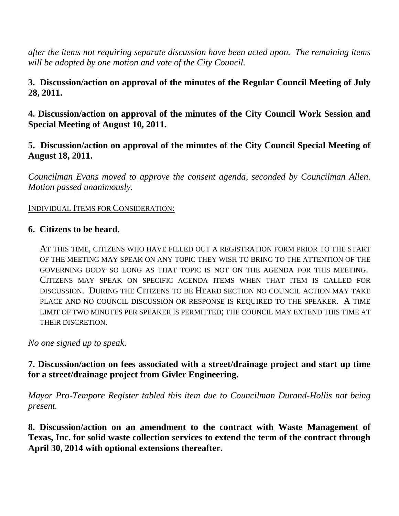*after the items not requiring separate discussion have been acted upon. The remaining items will be adopted by one motion and vote of the City Council.*

**3. Discussion/action on approval of the minutes of the Regular Council Meeting of July 28, 2011.**

**4. Discussion/action on approval of the minutes of the City Council Work Session and Special Meeting of August 10, 2011.**

#### **5. Discussion/action on approval of the minutes of the City Council Special Meeting of August 18, 2011.**

*Councilman Evans moved to approve the consent agenda, seconded by Councilman Allen. Motion passed unanimously.*

#### INDIVIDUAL ITEMS FOR CONSIDERATION:

#### **6. Citizens to be heard.**

AT THIS TIME, CITIZENS WHO HAVE FILLED OUT A REGISTRATION FORM PRIOR TO THE START OF THE MEETING MAY SPEAK ON ANY TOPIC THEY WISH TO BRING TO THE ATTENTION OF THE GOVERNING BODY SO LONG AS THAT TOPIC IS NOT ON THE AGENDA FOR THIS MEETING. CITIZENS MAY SPEAK ON SPECIFIC AGENDA ITEMS WHEN THAT ITEM IS CALLED FOR DISCUSSION. DURING THE CITIZENS TO BE HEARD SECTION NO COUNCIL ACTION MAY TAKE PLACE AND NO COUNCIL DISCUSSION OR RESPONSE IS REQUIRED TO THE SPEAKER. A TIME LIMIT OF TWO MINUTES PER SPEAKER IS PERMITTED; THE COUNCIL MAY EXTEND THIS TIME AT THEIR DISCRETION.

*No one signed up to speak*.

## **7. Discussion/action on fees associated with a street/drainage project and start up time for a street/drainage project from Givler Engineering.**

*Mayor Pro-Tempore Register tabled this item due to Councilman Durand-Hollis not being present.* 

**8. Discussion/action on an amendment to the contract with Waste Management of Texas, Inc. for solid waste collection services to extend the term of the contract through April 30, 2014 with optional extensions thereafter.**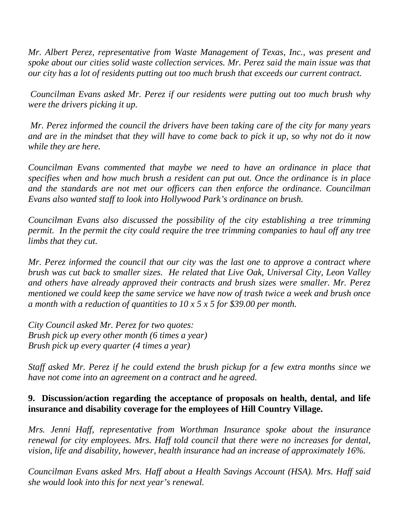*Mr. Albert Perez, representative from Waste Management of Texas, Inc., was present and spoke about our cities solid waste collection services. Mr. Perez said the main issue was that our city has a lot of residents putting out too much brush that exceeds our current contract.*

*Councilman Evans asked Mr. Perez if our residents were putting out too much brush why were the drivers picking it up.*

*Mr. Perez informed the council the drivers have been taking care of the city for many years and are in the mindset that they will have to come back to pick it up, so why not do it now while they are here.* 

*Councilman Evans commented that maybe we need to have an ordinance in place that specifies when and how much brush a resident can put out. Once the ordinance is in place and the standards are not met our officers can then enforce the ordinance. Councilman Evans also wanted staff to look into Hollywood Park's ordinance on brush.*

*Councilman Evans also discussed the possibility of the city establishing a tree trimming permit. In the permit the city could require the tree trimming companies to haul off any tree limbs that they cut.*

*Mr. Perez informed the council that our city was the last one to approve a contract where brush was cut back to smaller sizes. He related that Live Oak, Universal City, Leon Valley and others have already approved their contracts and brush sizes were smaller. Mr. Perez mentioned we could keep the same service we have now of trash twice a week and brush once a month with a reduction of quantities to 10 x 5 x 5 for \$39.00 per month.*

*City Council asked Mr. Perez for two quotes: Brush pick up every other month (6 times a year) Brush pick up every quarter (4 times a year)*

*Staff asked Mr. Perez if he could extend the brush pickup for a few extra months since we have not come into an agreement on a contract and he agreed.*

## **9. Discussion/action regarding the acceptance of proposals on health, dental, and life insurance and disability coverage for the employees of Hill Country Village.**

*Mrs. Jenni Haff, representative from Worthman Insurance spoke about the insurance renewal for city employees. Mrs. Haff told council that there were no increases for dental, vision, life and disability, however, health insurance had an increase of approximately 16%.*

*Councilman Evans asked Mrs. Haff about a Health Savings Account (HSA). Mrs. Haff said she would look into this for next year's renewal.*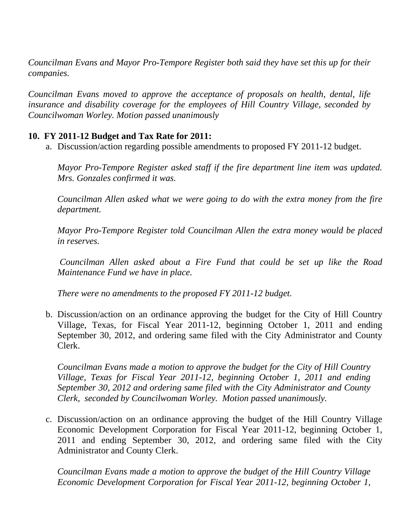*Councilman Evans and Mayor Pro-Tempore Register both said they have set this up for their companies.* 

*Councilman Evans moved to approve the acceptance of proposals on health, dental, life insurance and disability coverage for the employees of Hill Country Village, seconded by Councilwoman Worley. Motion passed unanimously*

#### **10. FY 2011-12 Budget and Tax Rate for 2011:**

a. Discussion/action regarding possible amendments to proposed FY 2011-12 budget.

*Mayor Pro-Tempore Register asked staff if the fire department line item was updated. Mrs. Gonzales confirmed it was.* 

*Councilman Allen asked what we were going to do with the extra money from the fire department.* 

*Mayor Pro-Tempore Register told Councilman Allen the extra money would be placed in reserves.*

*Councilman Allen asked about a Fire Fund that could be set up like the Road Maintenance Fund we have in place.*

*There were no amendments to the proposed FY 2011-12 budget.*

b. Discussion/action on an ordinance approving the budget for the City of Hill Country Village, Texas, for Fiscal Year 2011-12, beginning October 1, 2011 and ending September 30, 2012, and ordering same filed with the City Administrator and County Clerk.

*Councilman Evans made a motion to approve the budget for the City of Hill Country Village, Texas for Fiscal Year 2011-12, beginning October 1, 2011 and ending September 30, 2012 and ordering same filed with the City Administrator and County Clerk, seconded by Councilwoman Worley. Motion passed unanimously.*

c. Discussion/action on an ordinance approving the budget of the Hill Country Village Economic Development Corporation for Fiscal Year 2011-12, beginning October 1, 2011 and ending September 30, 2012, and ordering same filed with the City Administrator and County Clerk.

*Councilman Evans made a motion to approve the budget of the Hill Country Village Economic Development Corporation for Fiscal Year 2011-12, beginning October 1,*